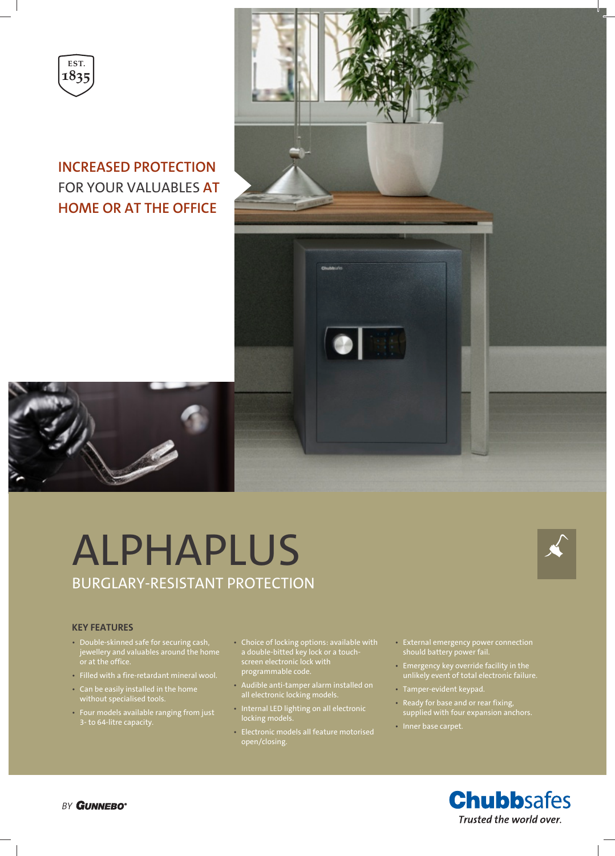

# **INCREASED PROTECTION** FOR YOUR VALUABLES **AT HOME OR AT THE OFFICE**



# ALPHAPLUS BURGLARY-RESISTANT PROTECTION



#### **KEY FEATURES**

- Double-skinned safe for securing cash, jewellery and valuables around the home or at the office.
- Filled with a fire-retardant mineral wool.
- Can be easily installed in the home without specialised tools.
- Four models available ranging from just 3- to 64-litre capacity.
- Choice of locking options: available with a double-bitted key lock or a touchscreen electronic lock with programmable code.
- Audible anti-tamper alarm installed on all electronic locking models.
- Internal LED lighting on all electronic locking models.
- Electronic models all feature motorised open/closing.
- External emergency power connection should battery power fail.
- Emergency key override facility in the unlikely event of total electronic failure.
- Tamper-evident keypad.
- Ready for base and or rear fixing, supplied with four expansion anchors.
- Inner base carpet.